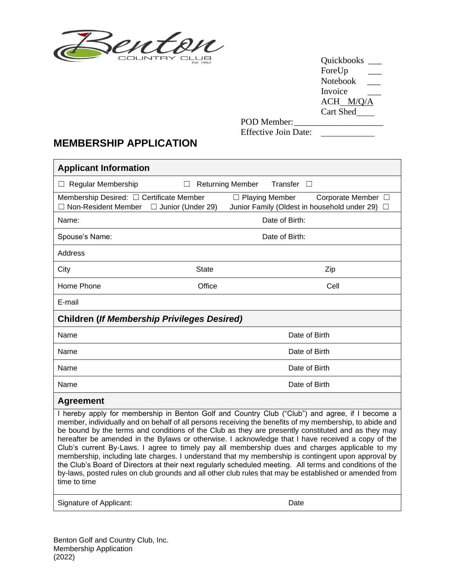

Quickbooks \_\_\_ ForeUp \_\_\_ Notebook \_\_\_ Invoice \_\_\_ ACH\_M/Q/A Cart Shed

 $\overline{\phantom{0}}$ 

POD Member: Effective Join Date:

# **MEMBERSHIP APPLICATION**

г

| <b>Applicant Information</b>                                                                    |                                   |                                                                                                                                                                                                                                                                                                                                                                                                                                                                                                                                                                                                                                                                                                                                                                                                                                                     |        |
|-------------------------------------------------------------------------------------------------|-----------------------------------|-----------------------------------------------------------------------------------------------------------------------------------------------------------------------------------------------------------------------------------------------------------------------------------------------------------------------------------------------------------------------------------------------------------------------------------------------------------------------------------------------------------------------------------------------------------------------------------------------------------------------------------------------------------------------------------------------------------------------------------------------------------------------------------------------------------------------------------------------------|--------|
| $\Box$ Regular Membership                                                                       | <b>Returning Member</b><br>$\Box$ | Transfer $\square$                                                                                                                                                                                                                                                                                                                                                                                                                                                                                                                                                                                                                                                                                                                                                                                                                                  |        |
| Membership Desired: □ Certificate Member<br>$\Box$ Non-Resident Member $\Box$ Junior (Under 29) |                                   | $\Box$ Playing Member<br>Corporate Member □<br>Junior Family (Oldest in household under 29)                                                                                                                                                                                                                                                                                                                                                                                                                                                                                                                                                                                                                                                                                                                                                         | $\Box$ |
| Name:                                                                                           |                                   | Date of Birth:                                                                                                                                                                                                                                                                                                                                                                                                                                                                                                                                                                                                                                                                                                                                                                                                                                      |        |
| Spouse's Name:                                                                                  |                                   | Date of Birth:                                                                                                                                                                                                                                                                                                                                                                                                                                                                                                                                                                                                                                                                                                                                                                                                                                      |        |
| <b>Address</b>                                                                                  |                                   |                                                                                                                                                                                                                                                                                                                                                                                                                                                                                                                                                                                                                                                                                                                                                                                                                                                     |        |
| City                                                                                            | <b>State</b>                      | Zip                                                                                                                                                                                                                                                                                                                                                                                                                                                                                                                                                                                                                                                                                                                                                                                                                                                 |        |
| Home Phone                                                                                      | Office                            | Cell                                                                                                                                                                                                                                                                                                                                                                                                                                                                                                                                                                                                                                                                                                                                                                                                                                                |        |
| E-mail                                                                                          |                                   |                                                                                                                                                                                                                                                                                                                                                                                                                                                                                                                                                                                                                                                                                                                                                                                                                                                     |        |
| <b>Children (If Membership Privileges Desired)</b>                                              |                                   |                                                                                                                                                                                                                                                                                                                                                                                                                                                                                                                                                                                                                                                                                                                                                                                                                                                     |        |
| Name                                                                                            |                                   | Date of Birth                                                                                                                                                                                                                                                                                                                                                                                                                                                                                                                                                                                                                                                                                                                                                                                                                                       |        |
| Name                                                                                            |                                   | Date of Birth                                                                                                                                                                                                                                                                                                                                                                                                                                                                                                                                                                                                                                                                                                                                                                                                                                       |        |
| Name                                                                                            |                                   | Date of Birth                                                                                                                                                                                                                                                                                                                                                                                                                                                                                                                                                                                                                                                                                                                                                                                                                                       |        |
| Name                                                                                            |                                   | Date of Birth                                                                                                                                                                                                                                                                                                                                                                                                                                                                                                                                                                                                                                                                                                                                                                                                                                       |        |
| <b>Agreement</b>                                                                                |                                   |                                                                                                                                                                                                                                                                                                                                                                                                                                                                                                                                                                                                                                                                                                                                                                                                                                                     |        |
| time to time                                                                                    |                                   | I hereby apply for membership in Benton Golf and Country Club ("Club") and agree, if I become a<br>member, individually and on behalf of all persons receiving the benefits of my membership, to abide and<br>be bound by the terms and conditions of the Club as they are presently constituted and as they may<br>hereafter be amended in the Bylaws or otherwise. I acknowledge that I have received a copy of the<br>Club's current By-Laws. I agree to timely pay all membership dues and charges applicable to my<br>membership, including late charges. I understand that my membership is contingent upon approval by<br>the Club's Board of Directors at their next regularly scheduled meeting. All terms and conditions of the<br>by-laws, posted rules on club grounds and all other club rules that may be established or amended from |        |
| Signature of Applicant:                                                                         |                                   | Date                                                                                                                                                                                                                                                                                                                                                                                                                                                                                                                                                                                                                                                                                                                                                                                                                                                |        |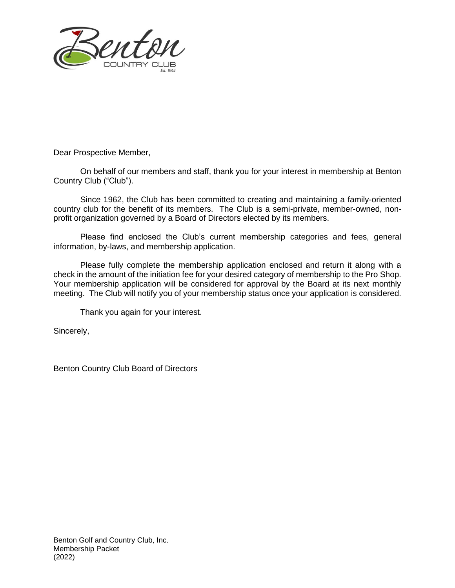

Dear Prospective Member,

On behalf of our members and staff, thank you for your interest in membership at Benton Country Club ("Club").

Since 1962, the Club has been committed to creating and maintaining a family-oriented country club for the benefit of its members. The Club is a semi-private, member-owned, nonprofit organization governed by a Board of Directors elected by its members.

Please find enclosed the Club's current membership categories and fees, general information, by-laws, and membership application.

Please fully complete the membership application enclosed and return it along with a check in the amount of the initiation fee for your desired category of membership to the Pro Shop. Your membership application will be considered for approval by the Board at its next monthly meeting. The Club will notify you of your membership status once your application is considered.

Thank you again for your interest.

Sincerely,

Benton Country Club Board of Directors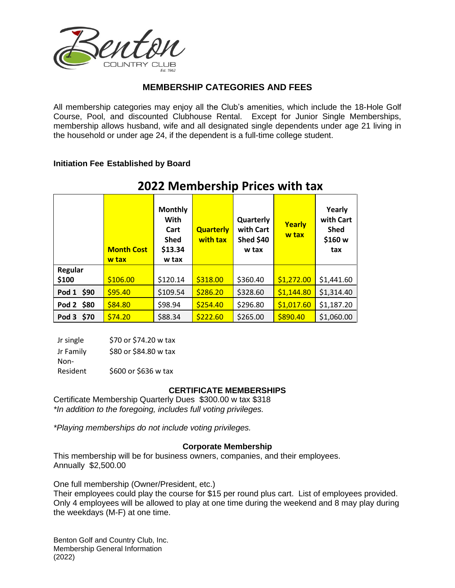

## **MEMBERSHIP CATEGORIES AND FEES**

All membership categories may enjoy all the Club's amenities, which include the 18-Hole Golf Course, Pool, and discounted Clubhouse Rental. Except for Junior Single Memberships, membership allows husband, wife and all designated single dependents under age 21 living in the household or under age 24, if the dependent is a full-time college student.

#### **Initiation Fee Established by Board**

|                  | <b>Month Cost</b><br>w tax | <b>Monthly</b><br><b>With</b><br>Cart<br><b>Shed</b><br>\$13.34<br>w tax | <b>Quarterly</b><br>with tax | Quarterly<br>with Cart<br><b>Shed \$40</b><br>w tax | Yearly<br>w tax | Yearly<br>with Cart<br><b>Shed</b><br>\$160 w<br>tax |
|------------------|----------------------------|--------------------------------------------------------------------------|------------------------------|-----------------------------------------------------|-----------------|------------------------------------------------------|
| Regular<br>\$100 | \$106.00                   | \$120.14                                                                 | \$318.00                     | \$360.40                                            | \$1,272.00      | \$1,441.60                                           |
| Pod 1 \$90       | \$95.40                    | \$109.54                                                                 | \$286.20                     | \$328.60                                            | \$1,144.80      | \$1,314.40                                           |
| Pod 2 \$80       | \$84.80                    | \$98.94                                                                  | \$254.40                     | \$296.80                                            | \$1,017.60      | \$1,187.20                                           |
| Pod 3 \$70       | \$74.20                    | \$88.34                                                                  | \$222.60                     | \$265.00                                            | \$890.40        | \$1,060.00                                           |

# **2022 Membership Prices with tax**

| Jr single | \$70 or \$74.20 w tax |
|-----------|-----------------------|
| Jr Family | \$80 or \$84.80 w tax |
| Non-      |                       |
| Resident  | \$600 or \$636 w tax  |

#### **CERTIFICATE MEMBERSHIPS**

Certificate Membership Quarterly Dues \$300.00 w tax \$318 *\*In addition to the foregoing, includes full voting privileges.*

*\*Playing memberships do not include voting privileges.*

#### **Corporate Membership**

This membership will be for business owners, companies, and their employees. Annually \$2,500.00

One full membership (Owner/President, etc.)

Their employees could play the course for \$15 per round plus cart. List of employees provided. Only 4 employees will be allowed to play at one time during the weekend and 8 may play during the weekdays (M-F) at one time.

Benton Golf and Country Club, Inc. Membership General Information (2022)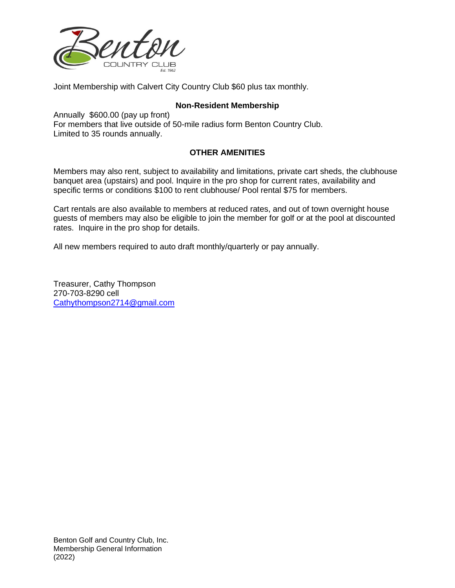

Joint Membership with Calvert City Country Club \$60 plus tax monthly.

#### **Non-Resident Membership**

Annually \$600.00 (pay up front) For members that live outside of 50-mile radius form Benton Country Club. Limited to 35 rounds annually.

### **OTHER AMENITIES**

Members may also rent, subject to availability and limitations, private cart sheds, the clubhouse banquet area (upstairs) and pool. Inquire in the pro shop for current rates, availability and specific terms or conditions \$100 to rent clubhouse/ Pool rental \$75 for members.

Cart rentals are also available to members at reduced rates, and out of town overnight house guests of members may also be eligible to join the member for golf or at the pool at discounted rates. Inquire in the pro shop for details.

All new members required to auto draft monthly/quarterly or pay annually.

Treasurer, Cathy Thompson 270-703-8290 cell [Cathythompson2714@gmail.com](mailto:Cathythompson2714@gmail.com)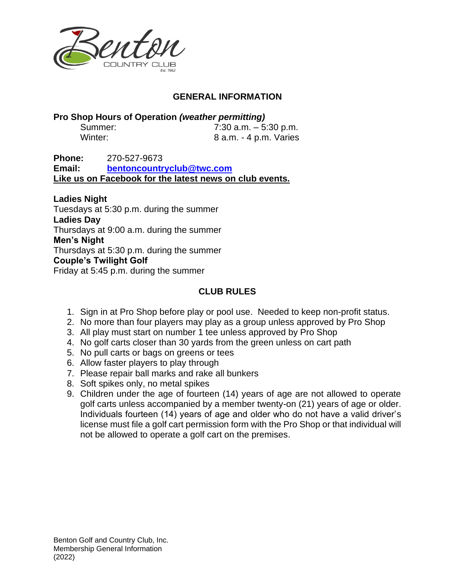

# **GENERAL INFORMATION**

**Pro Shop Hours of Operation** *(weather permitting)*

| Summer: |  | 7:30 a.m. $-5:30$ p.m. |
|---------|--|------------------------|
| Winter: |  | 8 a.m. - 4 p.m. Varies |

**Phone:** 270-527-9673 **Email: [bentoncountryclub@twc.com](mailto:bentoncountryclub@twc.com) Like us on Facebook for the latest news on club events.**

**Ladies Night** Tuesdays at 5:30 p.m. during the summer **Ladies Day** Thursdays at 9:00 a.m. during the summer **Men's Night** Thursdays at 5:30 p.m. during the summer **Couple's Twilight Golf** Friday at 5:45 p.m. during the summer

# **CLUB RULES**

- 1. Sign in at Pro Shop before play or pool use. Needed to keep non-profit status.
- 2. No more than four players may play as a group unless approved by Pro Shop
- 3. All play must start on number 1 tee unless approved by Pro Shop
- 4. No golf carts closer than 30 yards from the green unless on cart path
- 5. No pull carts or bags on greens or tees
- 6. Allow faster players to play through
- 7. Please repair ball marks and rake all bunkers
- 8. Soft spikes only, no metal spikes
- 9. Children under the age of fourteen (14) years of age are not allowed to operate golf carts unless accompanied by a member twenty-on (21) years of age or older. Individuals fourteen (14) years of age and older who do not have a valid driver's license must file a golf cart permission form with the Pro Shop or that individual will not be allowed to operate a golf cart on the premises.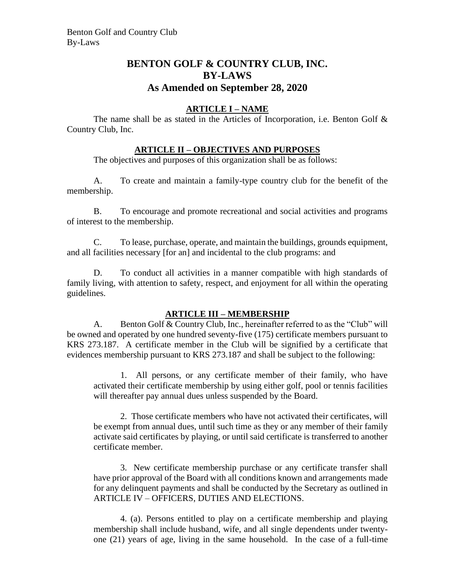# **BENTON GOLF & COUNTRY CLUB, INC. BY-LAWS As Amended on September 28, 2020**

### **ARTICLE I – NAME**

The name shall be as stated in the Articles of Incorporation, i.e. Benton Golf  $\&$ Country Club, Inc.

## **ARTICLE II – OBJECTIVES AND PURPOSES**

The objectives and purposes of this organization shall be as follows:

A. To create and maintain a family-type country club for the benefit of the membership.

B. To encourage and promote recreational and social activities and programs of interest to the membership.

C. To lease, purchase, operate, and maintain the buildings, grounds equipment, and all facilities necessary [for an] and incidental to the club programs: and

D. To conduct all activities in a manner compatible with high standards of family living, with attention to safety, respect, and enjoyment for all within the operating guidelines.

#### **ARTICLE III – MEMBERSHIP**

A. Benton Golf & Country Club, Inc., hereinafter referred to as the "Club" will be owned and operated by one hundred seventy-five (175) certificate members pursuant to KRS 273.187. A certificate member in the Club will be signified by a certificate that evidences membership pursuant to KRS 273.187 and shall be subject to the following:

1. All persons, or any certificate member of their family, who have activated their certificate membership by using either golf, pool or tennis facilities will thereafter pay annual dues unless suspended by the Board.

2. Those certificate members who have not activated their certificates, will be exempt from annual dues, until such time as they or any member of their family activate said certificates by playing, or until said certificate is transferred to another certificate member.

3. New certificate membership purchase or any certificate transfer shall have prior approval of the Board with all conditions known and arrangements made for any delinquent payments and shall be conducted by the Secretary as outlined in ARTICLE IV – OFFICERS, DUTIES AND ELECTIONS.

4. (a). Persons entitled to play on a certificate membership and playing membership shall include husband, wife, and all single dependents under twentyone (21) years of age, living in the same household. In the case of a full-time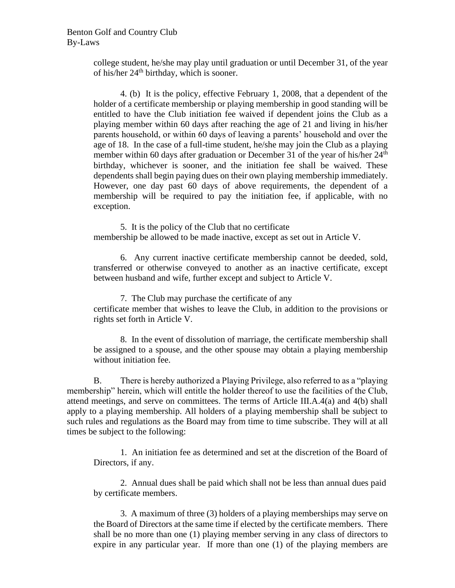college student, he/she may play until graduation or until December 31, of the year of his/her  $24<sup>th</sup>$  birthday, which is sooner.

4. (b) It is the policy, effective February 1, 2008, that a dependent of the holder of a certificate membership or playing membership in good standing will be entitled to have the Club initiation fee waived if dependent joins the Club as a playing member within 60 days after reaching the age of 21 and living in his/her parents household, or within 60 days of leaving a parents' household and over the age of 18. In the case of a full-time student, he/she may join the Club as a playing member within 60 days after graduation or December 31 of the year of his/her 24<sup>th</sup> birthday, whichever is sooner, and the initiation fee shall be waived. These dependents shall begin paying dues on their own playing membership immediately. However, one day past 60 days of above requirements, the dependent of a membership will be required to pay the initiation fee, if applicable, with no exception.

5. It is the policy of the Club that no certificate membership be allowed to be made inactive, except as set out in Article V.

6. Any current inactive certificate membership cannot be deeded, sold, transferred or otherwise conveyed to another as an inactive certificate, except between husband and wife, further except and subject to Article V.

7. The Club may purchase the certificate of any certificate member that wishes to leave the Club, in addition to the provisions or rights set forth in Article V.

8. In the event of dissolution of marriage, the certificate membership shall be assigned to a spouse, and the other spouse may obtain a playing membership without initiation fee.

B. There is hereby authorized a Playing Privilege, also referred to as a "playing membership" herein, which will entitle the holder thereof to use the facilities of the Club, attend meetings, and serve on committees. The terms of Article III.A.4(a) and 4(b) shall apply to a playing membership. All holders of a playing membership shall be subject to such rules and regulations as the Board may from time to time subscribe. They will at all times be subject to the following:

1. An initiation fee as determined and set at the discretion of the Board of Directors, if any.

2. Annual dues shall be paid which shall not be less than annual dues paid by certificate members.

3. A maximum of three (3) holders of a playing memberships may serve on the Board of Directors at the same time if elected by the certificate members. There shall be no more than one (1) playing member serving in any class of directors to expire in any particular year. If more than one (1) of the playing members are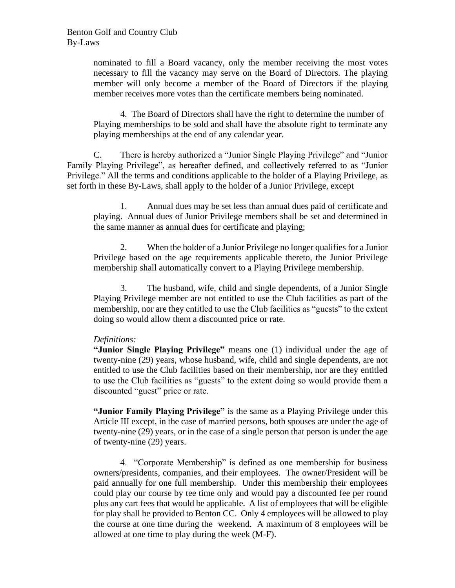nominated to fill a Board vacancy, only the member receiving the most votes necessary to fill the vacancy may serve on the Board of Directors. The playing member will only become a member of the Board of Directors if the playing member receives more votes than the certificate members being nominated.

4. The Board of Directors shall have the right to determine the number of Playing memberships to be sold and shall have the absolute right to terminate any playing memberships at the end of any calendar year.

C. There is hereby authorized a "Junior Single Playing Privilege" and "Junior Family Playing Privilege", as hereafter defined, and collectively referred to as "Junior Privilege." All the terms and conditions applicable to the holder of a Playing Privilege, as set forth in these By-Laws, shall apply to the holder of a Junior Privilege, except

1. Annual dues may be set less than annual dues paid of certificate and playing. Annual dues of Junior Privilege members shall be set and determined in the same manner as annual dues for certificate and playing;

2. When the holder of a Junior Privilege no longer qualifies for a Junior Privilege based on the age requirements applicable thereto, the Junior Privilege membership shall automatically convert to a Playing Privilege membership.

3. The husband, wife, child and single dependents, of a Junior Single Playing Privilege member are not entitled to use the Club facilities as part of the membership, nor are they entitled to use the Club facilities as "guests" to the extent doing so would allow them a discounted price or rate.

#### *Definitions:*

**"Junior Single Playing Privilege"** means one (1) individual under the age of twenty-nine (29) years, whose husband, wife, child and single dependents, are not entitled to use the Club facilities based on their membership, nor are they entitled to use the Club facilities as "guests" to the extent doing so would provide them a discounted "guest" price or rate.

**"Junior Family Playing Privilege"** is the same as a Playing Privilege under this Article III except, in the case of married persons, both spouses are under the age of twenty-nine (29) years, or in the case of a single person that person is under the age of twenty-nine (29) years.

4. "Corporate Membership" is defined as one membership for business owners/presidents, companies, and their employees. The owner/President will be paid annually for one full membership. Under this membership their employees could play our course by tee time only and would pay a discounted fee per round plus any cart fees that would be applicable. A list of employees that will be eligible for play shall be provided to Benton CC. Only 4 employees will be allowed to play the course at one time during the weekend. A maximum of 8 employees will be allowed at one time to play during the week (M-F).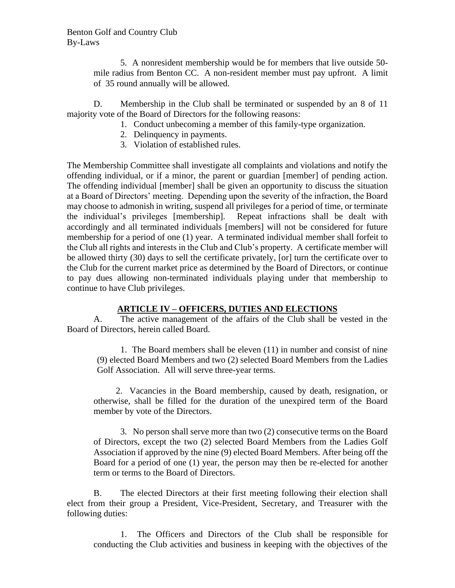5. A nonresident membership would be for members that live outside 50 mile radius from Benton CC. A non-resident member must pay upfront. A limit of 35 round annually will be allowed.

D. Membership in the Club shall be terminated or suspended by an 8 of 11 majority vote of the Board of Directors for the following reasons:

- 1. Conduct unbecoming a member of this family-type organization.
- 2. Delinquency in payments.
- 3. Violation of established rules.

The Membership Committee shall investigate all complaints and violations and notify the offending individual, or if a minor, the parent or guardian [member] of pending action. The offending individual [member] shall be given an opportunity to discuss the situation at a Board of Directors' meeting. Depending upon the severity of the infraction, the Board may choose to admonish in writing, suspend all privileges for a period of time, or terminate the individual's privileges [membership]. Repeat infractions shall be dealt with accordingly and all terminated individuals [members] will not be considered for future membership for a period of one (1) year. A terminated individual member shall forfeit to the Club all rights and interests in the Club and Club's property. A certificate member will be allowed thirty (30) days to sell the certificate privately, [or] turn the certificate over to the Club for the current market price as determined by the Board of Directors, or continue to pay dues allowing non-terminated individuals playing under that membership to continue to have Club privileges.

## **ARTICLE IV – OFFICERS, DUTIES AND ELECTIONS**

A. The active management of the affairs of the Club shall be vested in the Board of Directors, herein called Board.

1. The Board members shall be eleven (11) in number and consist of nine (9) elected Board Members and two (2) selected Board Members from the Ladies Golf Association. All will serve three-year terms.

2. Vacancies in the Board membership, caused by death, resignation, or otherwise, shall be filled for the duration of the unexpired term of the Board member by vote of the Directors.

3. No person shall serve more than two (2) consecutive terms on the Board of Directors, except the two (2) selected Board Members from the Ladies Golf Association if approved by the nine (9) elected Board Members. After being off the Board for a period of one (1) year, the person may then be re-elected for another term or terms to the Board of Directors.

B. The elected Directors at their first meeting following their election shall elect from their group a President, Vice-President, Secretary, and Treasurer with the following duties:

1. The Officers and Directors of the Club shall be responsible for conducting the Club activities and business in keeping with the objectives of the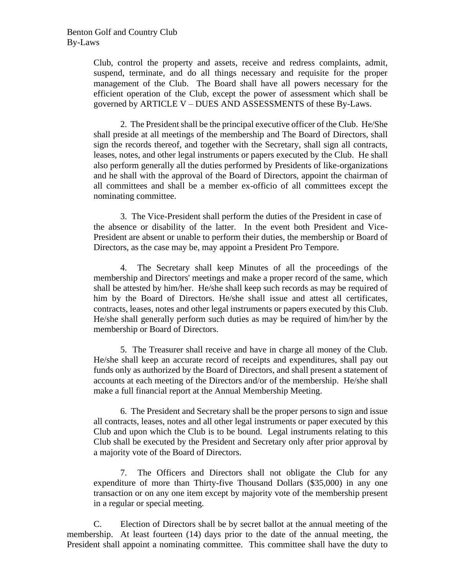Club, control the property and assets, receive and redress complaints, admit, suspend, terminate, and do all things necessary and requisite for the proper management of the Club. The Board shall have all powers necessary for the efficient operation of the Club, except the power of assessment which shall be governed by ARTICLE V – DUES AND ASSESSMENTS of these By-Laws.

2. The President shall be the principal executive officer of the Club. He/She shall preside at all meetings of the membership and The Board of Directors, shall sign the records thereof, and together with the Secretary, shall sign all contracts, leases, notes, and other legal instruments or papers executed by the Club. He shall also perform generally all the duties performed by Presidents of like-organizations and he shall with the approval of the Board of Directors, appoint the chairman of all committees and shall be a member ex-officio of all committees except the nominating committee.

3. The Vice-President shall perform the duties of the President in case of the absence or disability of the latter. In the event both President and Vice-President are absent or unable to perform their duties, the membership or Board of Directors, as the case may be, may appoint a President Pro Tempore.

4. The Secretary shall keep Minutes of all the proceedings of the membership and Directors' meetings and make a proper record of the same, which shall be attested by him/her. He/she shall keep such records as may be required of him by the Board of Directors. He/she shall issue and attest all certificates, contracts, leases, notes and other legal instruments or papers executed by this Club. He/she shall generally perform such duties as may be required of him/her by the membership or Board of Directors.

5. The Treasurer shall receive and have in charge all money of the Club. He/she shall keep an accurate record of receipts and expenditures, shall pay out funds only as authorized by the Board of Directors, and shall present a statement of accounts at each meeting of the Directors and/or of the membership. He/she shall make a full financial report at the Annual Membership Meeting.

6. The President and Secretary shall be the proper persons to sign and issue all contracts, leases, notes and all other legal instruments or paper executed by this Club and upon which the Club is to be bound. Legal instruments relating to this Club shall be executed by the President and Secretary only after prior approval by a majority vote of the Board of Directors.

7. The Officers and Directors shall not obligate the Club for any expenditure of more than Thirty-five Thousand Dollars (\$35,000) in any one transaction or on any one item except by majority vote of the membership present in a regular or special meeting.

C. Election of Directors shall be by secret ballot at the annual meeting of the membership. At least fourteen (14) days prior to the date of the annual meeting, the President shall appoint a nominating committee. This committee shall have the duty to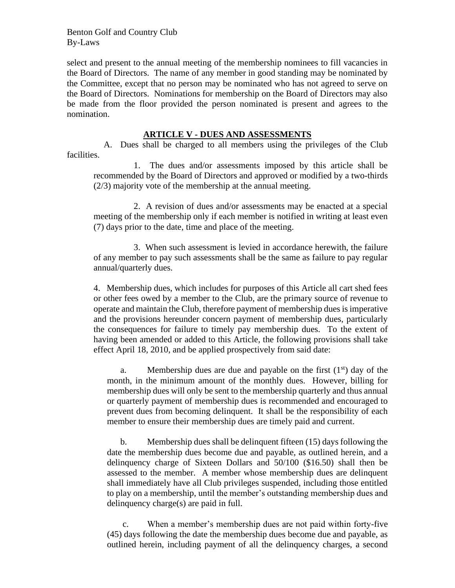Benton Golf and Country Club By-Laws

select and present to the annual meeting of the membership nominees to fill vacancies in the Board of Directors. The name of any member in good standing may be nominated by the Committee, except that no person may be nominated who has not agreed to serve on the Board of Directors. Nominations for membership on the Board of Directors may also be made from the floor provided the person nominated is present and agrees to the nomination.

#### **ARTICLE V - DUES AND ASSESSMENTS**

A. Dues shall be charged to all members using the privileges of the Club facilities.

 1. The dues and/or assessments imposed by this article shall be recommended by the Board of Directors and approved or modified by a two-thirds (2/3) majority vote of the membership at the annual meeting.

 2. A revision of dues and/or assessments may be enacted at a special meeting of the membership only if each member is notified in writing at least even (7) days prior to the date, time and place of the meeting.

 3. When such assessment is levied in accordance herewith, the failure of any member to pay such assessments shall be the same as failure to pay regular annual/quarterly dues.

4. Membership dues, which includes for purposes of this Article all cart shed fees or other fees owed by a member to the Club, are the primary source of revenue to operate and maintain the Club, therefore payment of membership dues is imperative and the provisions hereunder concern payment of membership dues, particularly the consequences for failure to timely pay membership dues. To the extent of having been amended or added to this Article, the following provisions shall take effect April 18, 2010, and be applied prospectively from said date:

a. Membership dues are due and payable on the first  $(1<sup>st</sup>)$  day of the month, in the minimum amount of the monthly dues. However, billing for membership dues will only be sent to the membership quarterly and thus annual or quarterly payment of membership dues is recommended and encouraged to prevent dues from becoming delinquent. It shall be the responsibility of each member to ensure their membership dues are timely paid and current.

b. Membership dues shall be delinquent fifteen (15) days following the date the membership dues become due and payable, as outlined herein, and a delinquency charge of Sixteen Dollars and 50/100 (\$16.50) shall then be assessed to the member. A member whose membership dues are delinquent shall immediately have all Club privileges suspended, including those entitled to play on a membership, until the member's outstanding membership dues and delinquency charge(s) are paid in full.

c. When a member's membership dues are not paid within forty-five (45) days following the date the membership dues become due and payable, as outlined herein, including payment of all the delinquency charges, a second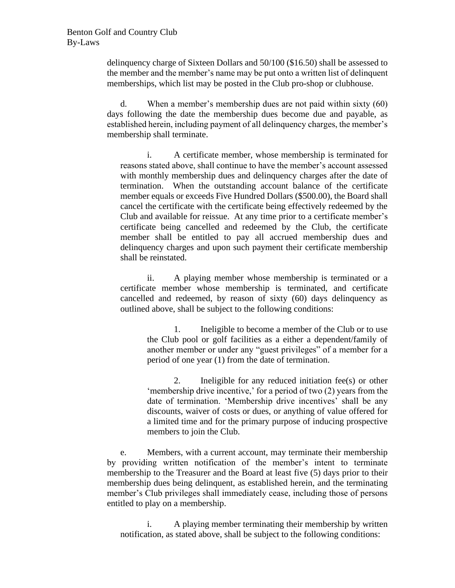delinquency charge of Sixteen Dollars and 50/100 (\$16.50) shall be assessed to the member and the member's name may be put onto a written list of delinquent memberships, which list may be posted in the Club pro-shop or clubhouse.

d. When a member's membership dues are not paid within sixty (60) days following the date the membership dues become due and payable, as established herein, including payment of all delinquency charges, the member's membership shall terminate.

i. A certificate member, whose membership is terminated for reasons stated above, shall continue to have the member's account assessed with monthly membership dues and delinquency charges after the date of termination. When the outstanding account balance of the certificate member equals or exceeds Five Hundred Dollars (\$500.00), the Board shall cancel the certificate with the certificate being effectively redeemed by the Club and available for reissue. At any time prior to a certificate member's certificate being cancelled and redeemed by the Club, the certificate member shall be entitled to pay all accrued membership dues and delinquency charges and upon such payment their certificate membership shall be reinstated.

ii. A playing member whose membership is terminated or a certificate member whose membership is terminated, and certificate cancelled and redeemed, by reason of sixty (60) days delinquency as outlined above, shall be subject to the following conditions:

> 1. Ineligible to become a member of the Club or to use the Club pool or golf facilities as a either a dependent/family of another member or under any "guest privileges" of a member for a period of one year (1) from the date of termination.

> 2. Ineligible for any reduced initiation fee(s) or other 'membership drive incentive,' for a period of two (2) years from the date of termination. 'Membership drive incentives' shall be any discounts, waiver of costs or dues, or anything of value offered for a limited time and for the primary purpose of inducing prospective members to join the Club.

e. Members, with a current account, may terminate their membership by providing written notification of the member's intent to terminate membership to the Treasurer and the Board at least five (5) days prior to their membership dues being delinquent, as established herein, and the terminating member's Club privileges shall immediately cease, including those of persons entitled to play on a membership.

i. A playing member terminating their membership by written notification, as stated above, shall be subject to the following conditions: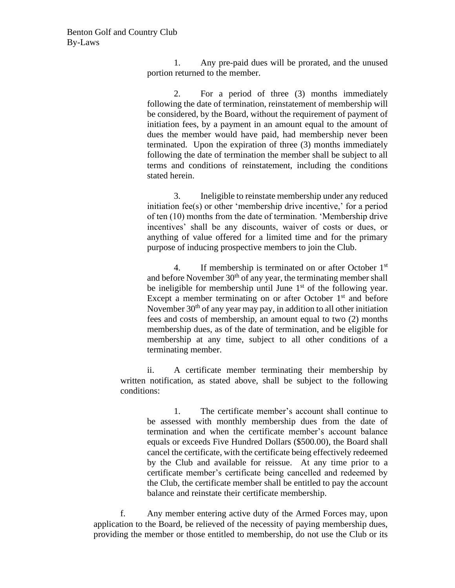1. Any pre-paid dues will be prorated, and the unused portion returned to the member.

2. For a period of three (3) months immediately following the date of termination, reinstatement of membership will be considered, by the Board, without the requirement of payment of initiation fees, by a payment in an amount equal to the amount of dues the member would have paid, had membership never been terminated. Upon the expiration of three (3) months immediately following the date of termination the member shall be subject to all terms and conditions of reinstatement, including the conditions stated herein.

3. Ineligible to reinstate membership under any reduced initiation fee(s) or other 'membership drive incentive,' for a period of ten (10) months from the date of termination. 'Membership drive incentives' shall be any discounts, waiver of costs or dues, or anything of value offered for a limited time and for the primary purpose of inducing prospective members to join the Club.

4. If membership is terminated on or after October 1<sup>st</sup> and before November  $30<sup>th</sup>$  of any year, the terminating member shall be ineligible for membership until June  $1<sup>st</sup>$  of the following year. Except a member terminating on or after October  $1<sup>st</sup>$  and before November  $30<sup>th</sup>$  of any year may pay, in addition to all other initiation fees and costs of membership, an amount equal to two (2) months membership dues, as of the date of termination, and be eligible for membership at any time, subject to all other conditions of a terminating member.

ii. A certificate member terminating their membership by written notification, as stated above, shall be subject to the following conditions:

1. The certificate member's account shall continue to be assessed with monthly membership dues from the date of termination and when the certificate member's account balance equals or exceeds Five Hundred Dollars (\$500.00), the Board shall cancel the certificate, with the certificate being effectively redeemed by the Club and available for reissue. At any time prior to a certificate member's certificate being cancelled and redeemed by the Club, the certificate member shall be entitled to pay the account balance and reinstate their certificate membership.

f. Any member entering active duty of the Armed Forces may, upon application to the Board, be relieved of the necessity of paying membership dues, providing the member or those entitled to membership, do not use the Club or its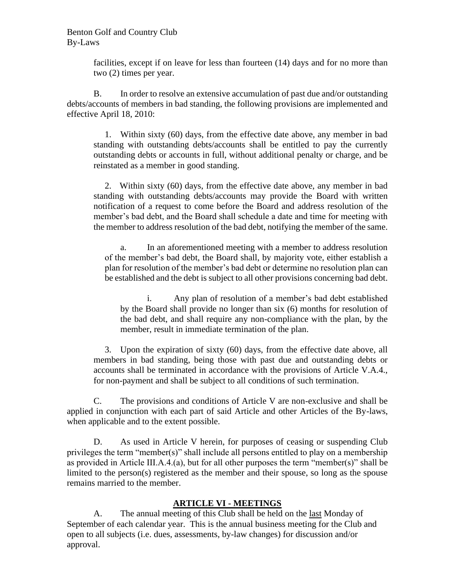#### Benton Golf and Country Club By-Laws

facilities, except if on leave for less than fourteen (14) days and for no more than two (2) times per year.

B. In order to resolve an extensive accumulation of past due and/or outstanding debts/accounts of members in bad standing, the following provisions are implemented and effective April 18, 2010:

1. Within sixty (60) days, from the effective date above, any member in bad standing with outstanding debts/accounts shall be entitled to pay the currently outstanding debts or accounts in full, without additional penalty or charge, and be reinstated as a member in good standing.

2. Within sixty (60) days, from the effective date above, any member in bad standing with outstanding debts/accounts may provide the Board with written notification of a request to come before the Board and address resolution of the member's bad debt, and the Board shall schedule a date and time for meeting with the member to address resolution of the bad debt, notifying the member of the same.

a. In an aforementioned meeting with a member to address resolution of the member's bad debt, the Board shall, by majority vote, either establish a plan for resolution of the member's bad debt or determine no resolution plan can be established and the debt is subject to all other provisions concerning bad debt.

i. Any plan of resolution of a member's bad debt established by the Board shall provide no longer than six (6) months for resolution of the bad debt, and shall require any non-compliance with the plan, by the member, result in immediate termination of the plan.

3. Upon the expiration of sixty (60) days, from the effective date above, all members in bad standing, being those with past due and outstanding debts or accounts shall be terminated in accordance with the provisions of Article V.A.4., for non-payment and shall be subject to all conditions of such termination.

C. The provisions and conditions of Article V are non-exclusive and shall be applied in conjunction with each part of said Article and other Articles of the By-laws, when applicable and to the extent possible.

D. As used in Article V herein, for purposes of ceasing or suspending Club privileges the term "member(s)" shall include all persons entitled to play on a membership as provided in Article III.A.4.(a), but for all other purposes the term "member(s)" shall be limited to the person(s) registered as the member and their spouse, so long as the spouse remains married to the member.

## **ARTICLE VI - MEETINGS**

A. The annual meeting of this Club shall be held on the <u>last</u> Monday of September of each calendar year. This is the annual business meeting for the Club and open to all subjects (i.e. dues, assessments, by-law changes) for discussion and/or approval.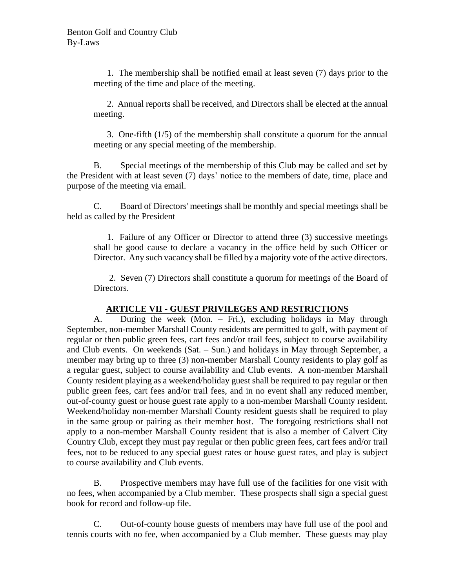1. The membership shall be notified email at least seven (7) days prior to the meeting of the time and place of the meeting.

 2. Annual reports shall be received, and Directors shall be elected at the annual meeting.

 3. One-fifth (1/5) of the membership shall constitute a quorum for the annual meeting or any special meeting of the membership.

B. Special meetings of the membership of this Club may be called and set by the President with at least seven (7) days' notice to the members of date, time, place and purpose of the meeting via email.

C. Board of Directors' meetings shall be monthly and special meetings shall be held as called by the President

1. Failure of any Officer or Director to attend three (3) successive meetings shall be good cause to declare a vacancy in the office held by such Officer or Director. Any such vacancy shall be filled by a majority vote of the active directors.

2. Seven (7) Directors shall constitute a quorum for meetings of the Board of Directors.

## **ARTICLE VII - GUEST PRIVILEGES AND RESTRICTIONS**

A. During the week (Mon. – Fri.), excluding holidays in May through September, non-member Marshall County residents are permitted to golf, with payment of regular or then public green fees, cart fees and/or trail fees, subject to course availability and Club events. On weekends (Sat. – Sun.) and holidays in May through September, a member may bring up to three (3) non-member Marshall County residents to play golf as a regular guest, subject to course availability and Club events. A non-member Marshall County resident playing as a weekend/holiday guest shall be required to pay regular or then public green fees, cart fees and/or trail fees, and in no event shall any reduced member, out-of-county guest or house guest rate apply to a non-member Marshall County resident. Weekend/holiday non-member Marshall County resident guests shall be required to play in the same group or pairing as their member host. The foregoing restrictions shall not apply to a non-member Marshall County resident that is also a member of Calvert City Country Club, except they must pay regular or then public green fees, cart fees and/or trail fees, not to be reduced to any special guest rates or house guest rates, and play is subject to course availability and Club events.

B. Prospective members may have full use of the facilities for one visit with no fees, when accompanied by a Club member. These prospects shall sign a special guest book for record and follow-up file.

C. Out-of-county house guests of members may have full use of the pool and tennis courts with no fee, when accompanied by a Club member. These guests may play